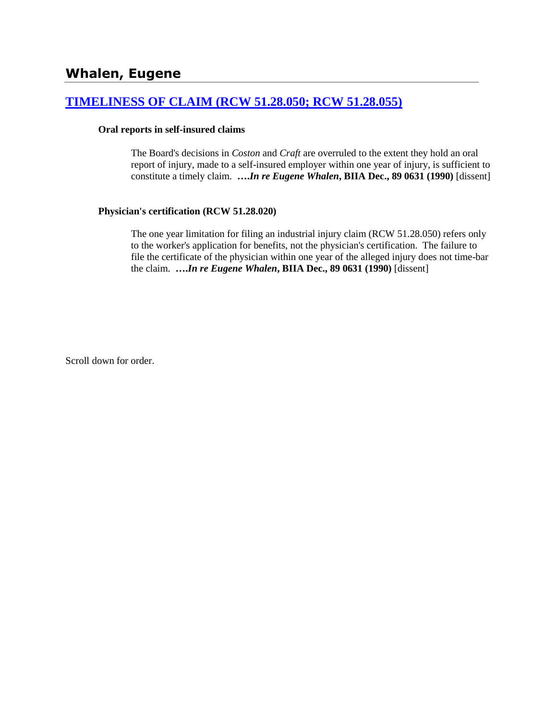## **[TIMELINESS OF CLAIM \(RCW 51.28.050; RCW 51.28.055\)](http://www.biia.wa.gov/SDSubjectIndex.html#TIMELINESS_OF_CLAIM)**

#### **Oral reports in self-insured claims**

The Board's decisions in *Coston* and *Craft* are overruled to the extent they hold an oral report of injury, made to a self-insured employer within one year of injury, is sufficient to constitute a timely claim. **….***In re Eugene Whalen***, BIIA Dec., 89 0631 (1990)** [dissent]

#### **Physician's certification (RCW 51.28.020)**

The one year limitation for filing an industrial injury claim (RCW 51.28.050) refers only to the worker's application for benefits, not the physician's certification. The failure to file the certificate of the physician within one year of the alleged injury does not time-bar the claim. **….***In re Eugene Whalen***, BIIA Dec., 89 0631 (1990)** [dissent]

Scroll down for order.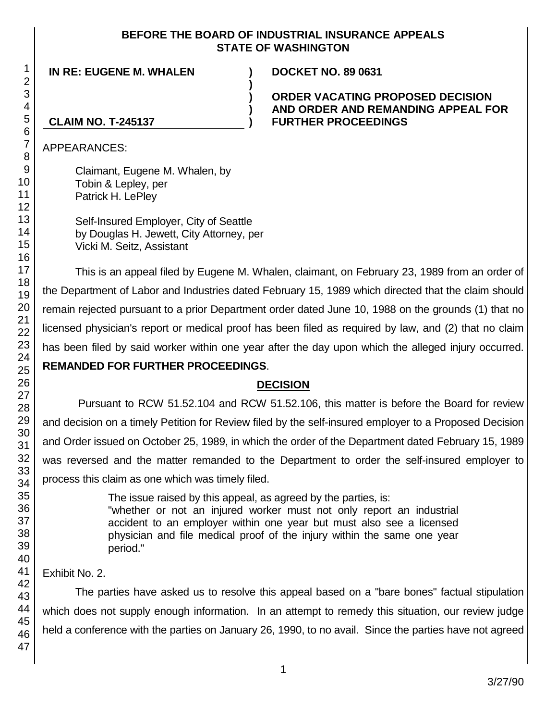### **BEFORE THE BOARD OF INDUSTRIAL INSURANCE APPEALS STATE OF WASHINGTON**

**)**

**) ) )**

**IN RE: EUGENE M. WHALEN ) DOCKET NO. 89 0631**

### **ORDER VACATING PROPOSED DECISION AND ORDER AND REMANDING APPEAL FOR FURTHER PROCEEDINGS**

## **CLAIM NO. T-245137**

APPEARANCES:

Claimant, Eugene M. Whalen, by Tobin & Lepley, per Patrick H. LePley

Self-Insured Employer, City of Seattle by Douglas H. Jewett, City Attorney, per Vicki M. Seitz, Assistant

This is an appeal filed by Eugene M. Whalen, claimant, on February 23, 1989 from an order of the Department of Labor and Industries dated February 15, 1989 which directed that the claim should remain rejected pursuant to a prior Department order dated June 10, 1988 on the grounds (1) that no licensed physician's report or medical proof has been filed as required by law, and (2) that no claim has been filed by said worker within one year after the day upon which the alleged injury occurred. **REMANDED FOR FURTHER PROCEEDINGS**.

# **DECISION**

Pursuant to RCW 51.52.104 and RCW 51.52.106, this matter is before the Board for review and decision on a timely Petition for Review filed by the self-insured employer to a Proposed Decision and Order issued on October 25, 1989, in which the order of the Department dated February 15, 1989 was reversed and the matter remanded to the Department to order the self-insured employer to process this claim as one which was timely filed.

> The issue raised by this appeal, as agreed by the parties, is: "whether or not an injured worker must not only report an industrial accident to an employer within one year but must also see a licensed physician and file medical proof of the injury within the same one year period."

Exhibit No. 2.

The parties have asked us to resolve this appeal based on a "bare bones" factual stipulation which does not supply enough information. In an attempt to remedy this situation, our review judge held a conference with the parties on January 26, 1990, to no avail. Since the parties have not agreed

1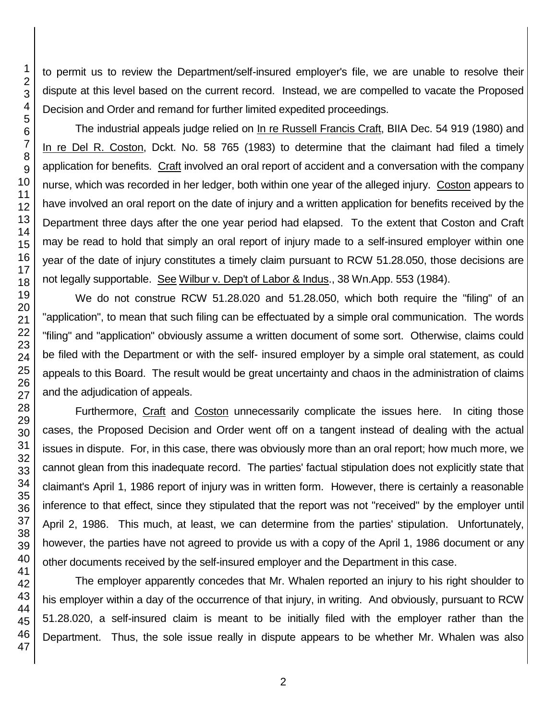to permit us to review the Department/self-insured employer's file, we are unable to resolve their dispute at this level based on the current record. Instead, we are compelled to vacate the Proposed Decision and Order and remand for further limited expedited proceedings.

The industrial appeals judge relied on In re Russell Francis Craft, BIIA Dec. 54 919 (1980) and In re Del R. Coston, Dckt. No. 58 765 (1983) to determine that the claimant had filed a timely application for benefits. Craft involved an oral report of accident and a conversation with the company nurse, which was recorded in her ledger, both within one year of the alleged injury. Coston appears to have involved an oral report on the date of injury and a written application for benefits received by the Department three days after the one year period had elapsed. To the extent that Coston and Craft may be read to hold that simply an oral report of injury made to a self-insured employer within one year of the date of injury constitutes a timely claim pursuant to RCW 51.28.050, those decisions are not legally supportable. See Wilbur v. Dep't of Labor & Indus., 38 Wn.App. 553 (1984).

We do not construe RCW 51.28.020 and 51.28.050, which both require the "filing" of an "application", to mean that such filing can be effectuated by a simple oral communication. The words "filing" and "application" obviously assume a written document of some sort. Otherwise, claims could be filed with the Department or with the self- insured employer by a simple oral statement, as could appeals to this Board. The result would be great uncertainty and chaos in the administration of claims and the adjudication of appeals.

Furthermore, Craft and Coston unnecessarily complicate the issues here. In citing those cases, the Proposed Decision and Order went off on a tangent instead of dealing with the actual issues in dispute. For, in this case, there was obviously more than an oral report; how much more, we cannot glean from this inadequate record. The parties' factual stipulation does not explicitly state that claimant's April 1, 1986 report of injury was in written form. However, there is certainly a reasonable inference to that effect, since they stipulated that the report was not "received" by the employer until April 2, 1986. This much, at least, we can determine from the parties' stipulation. Unfortunately, however, the parties have not agreed to provide us with a copy of the April 1, 1986 document or any other documents received by the self-insured employer and the Department in this case.

The employer apparently concedes that Mr. Whalen reported an injury to his right shoulder to his employer within a day of the occurrence of that injury, in writing. And obviously, pursuant to RCW 51.28.020, a self-insured claim is meant to be initially filed with the employer rather than the Department. Thus, the sole issue really in dispute appears to be whether Mr. Whalen was also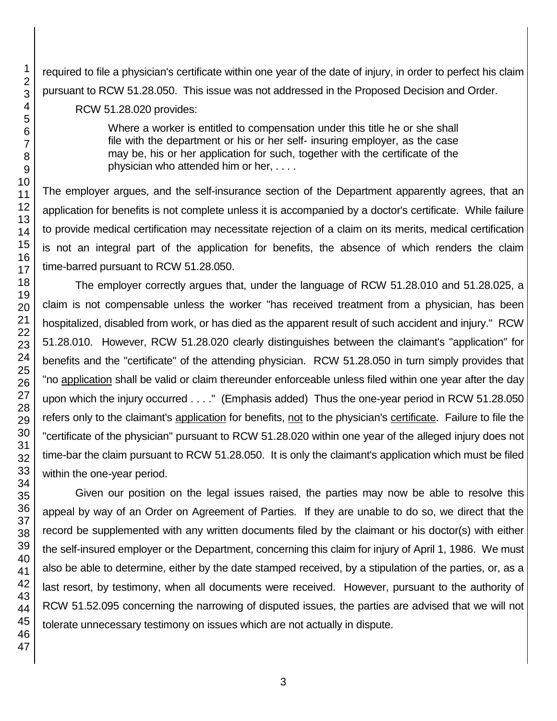required to file a physician's certificate within one year of the date of injury, in order to perfect his claim pursuant to RCW 51.28.050. This issue was not addressed in the Proposed Decision and Order.

RCW 51.28.020 provides:

Where a worker is entitled to compensation under this title he or she shall file with the department or his or her self- insuring employer, as the case may be, his or her application for such, together with the certificate of the physician who attended him or her, . . . .

The employer argues, and the self-insurance section of the Department apparently agrees, that an application for benefits is not complete unless it is accompanied by a doctor's certificate. While failure to provide medical certification may necessitate rejection of a claim on its merits, medical certification is not an integral part of the application for benefits, the absence of which renders the claim time-barred pursuant to RCW 51.28.050.

The employer correctly argues that, under the language of RCW 51.28.010 and 51.28.025, a claim is not compensable unless the worker "has received treatment from a physician, has been hospitalized, disabled from work, or has died as the apparent result of such accident and injury." RCW 51.28.010. However, RCW 51.28.020 clearly distinguishes between the claimant's "application" for benefits and the "certificate" of the attending physician. RCW 51.28.050 in turn simply provides that "no application shall be valid or claim thereunder enforceable unless filed within one year after the day upon which the injury occurred . . . ." (Emphasis added) Thus the one-year period in RCW 51.28.050 refers only to the claimant's application for benefits, not to the physician's certificate. Failure to file the "certificate of the physician" pursuant to RCW 51.28.020 within one year of the alleged injury does not time-bar the claim pursuant to RCW 51.28.050. It is only the claimant's application which must be filed within the one-year period.

Given our position on the legal issues raised, the parties may now be able to resolve this appeal by way of an Order on Agreement of Parties. If they are unable to do so, we direct that the record be supplemented with any written documents filed by the claimant or his doctor(s) with either the self-insured employer or the Department, concerning this claim for injury of April 1, 1986. We must also be able to determine, either by the date stamped received, by a stipulation of the parties, or, as a last resort, by testimony, when all documents were received. However, pursuant to the authority of RCW 51.52.095 concerning the narrowing of disputed issues, the parties are advised that we will not tolerate unnecessary testimony on issues which are not actually in dispute.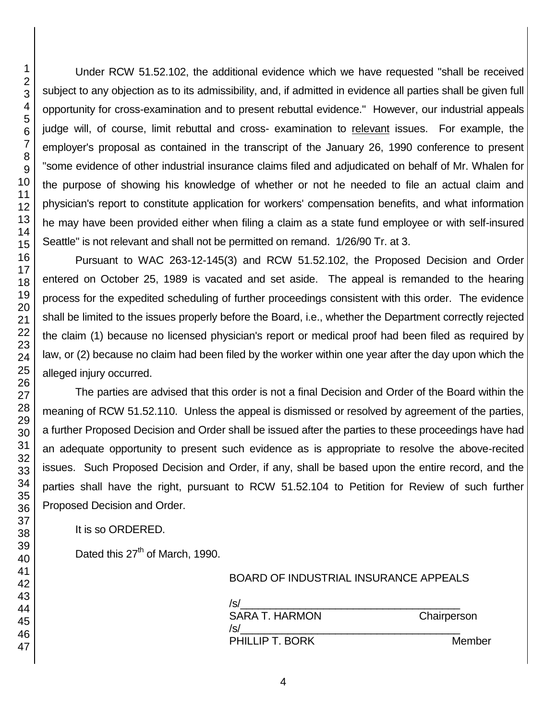Under RCW 51.52.102, the additional evidence which we have requested "shall be received subject to any objection as to its admissibility, and, if admitted in evidence all parties shall be given full opportunity for cross-examination and to present rebuttal evidence." However, our industrial appeals judge will, of course, limit rebuttal and cross- examination to relevant issues. For example, the employer's proposal as contained in the transcript of the January 26, 1990 conference to present "some evidence of other industrial insurance claims filed and adjudicated on behalf of Mr. Whalen for the purpose of showing his knowledge of whether or not he needed to file an actual claim and physician's report to constitute application for workers' compensation benefits, and what information he may have been provided either when filing a claim as a state fund employee or with self-insured Seattle" is not relevant and shall not be permitted on remand. 1/26/90 Tr. at 3.

Pursuant to WAC 263-12-145(3) and RCW 51.52.102, the Proposed Decision and Order entered on October 25, 1989 is vacated and set aside. The appeal is remanded to the hearing process for the expedited scheduling of further proceedings consistent with this order. The evidence shall be limited to the issues properly before the Board, i.e., whether the Department correctly rejected the claim (1) because no licensed physician's report or medical proof had been filed as required by law, or (2) because no claim had been filed by the worker within one year after the day upon which the alleged injury occurred.

The parties are advised that this order is not a final Decision and Order of the Board within the meaning of RCW 51.52.110. Unless the appeal is dismissed or resolved by agreement of the parties, a further Proposed Decision and Order shall be issued after the parties to these proceedings have had an adequate opportunity to present such evidence as is appropriate to resolve the above-recited issues. Such Proposed Decision and Order, if any, shall be based upon the entire record, and the parties shall have the right, pursuant to RCW 51.52.104 to Petition for Review of such further Proposed Decision and Order.

It is so ORDERED.

Dated this 27<sup>th</sup> of March, 1990.

| /s/                   |             |
|-----------------------|-------------|
| <b>SARA T. HARMON</b> | Chairperson |
| /s/                   |             |
| PHILLIP T. BORK       | Member      |

BOARD OF INDUSTRIAL INSURANCE APPEALS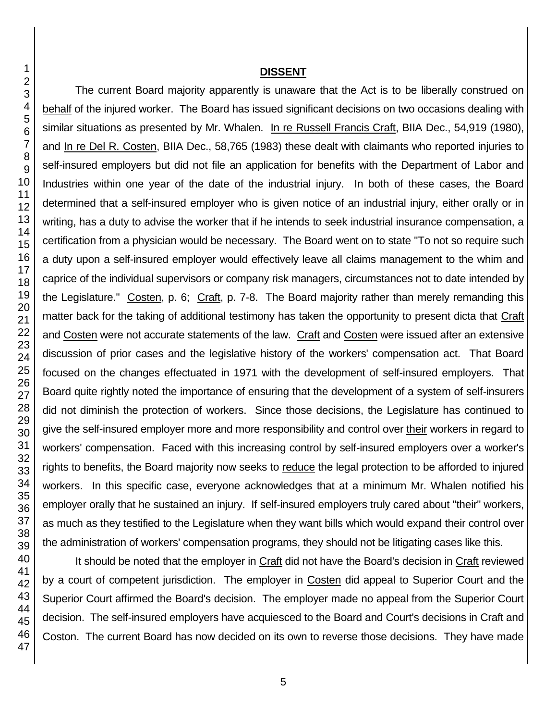#### **DISSENT**

The current Board majority apparently is unaware that the Act is to be liberally construed on behalf of the injured worker. The Board has issued significant decisions on two occasions dealing with similar situations as presented by Mr. Whalen. In re Russell Francis Craft, BIIA Dec., 54,919 (1980), and In re Del R. Costen, BIIA Dec., 58,765 (1983) these dealt with claimants who reported injuries to self-insured employers but did not file an application for benefits with the Department of Labor and Industries within one year of the date of the industrial injury. In both of these cases, the Board determined that a self-insured employer who is given notice of an industrial injury, either orally or in writing, has a duty to advise the worker that if he intends to seek industrial insurance compensation, a certification from a physician would be necessary. The Board went on to state "To not so require such a duty upon a self-insured employer would effectively leave all claims management to the whim and caprice of the individual supervisors or company risk managers, circumstances not to date intended by the Legislature." Costen, p. 6; Craft, p. 7-8. The Board majority rather than merely remanding this matter back for the taking of additional testimony has taken the opportunity to present dicta that Craft and Costen were not accurate statements of the law. Craft and Costen were issued after an extensive discussion of prior cases and the legislative history of the workers' compensation act. That Board focused on the changes effectuated in 1971 with the development of self-insured employers. That Board quite rightly noted the importance of ensuring that the development of a system of self-insurers did not diminish the protection of workers. Since those decisions, the Legislature has continued to give the self-insured employer more and more responsibility and control over their workers in regard to workers' compensation. Faced with this increasing control by self-insured employers over a worker's rights to benefits, the Board majority now seeks to reduce the legal protection to be afforded to injured workers. In this specific case, everyone acknowledges that at a minimum Mr. Whalen notified his employer orally that he sustained an injury. If self-insured employers truly cared about "their" workers, as much as they testified to the Legislature when they want bills which would expand their control over the administration of workers' compensation programs, they should not be litigating cases like this.

It should be noted that the employer in Craft did not have the Board's decision in Craft reviewed by a court of competent jurisdiction. The employer in Costen did appeal to Superior Court and the Superior Court affirmed the Board's decision. The employer made no appeal from the Superior Court decision. The self-insured employers have acquiesced to the Board and Court's decisions in Craft and Coston. The current Board has now decided on its own to reverse those decisions. They have made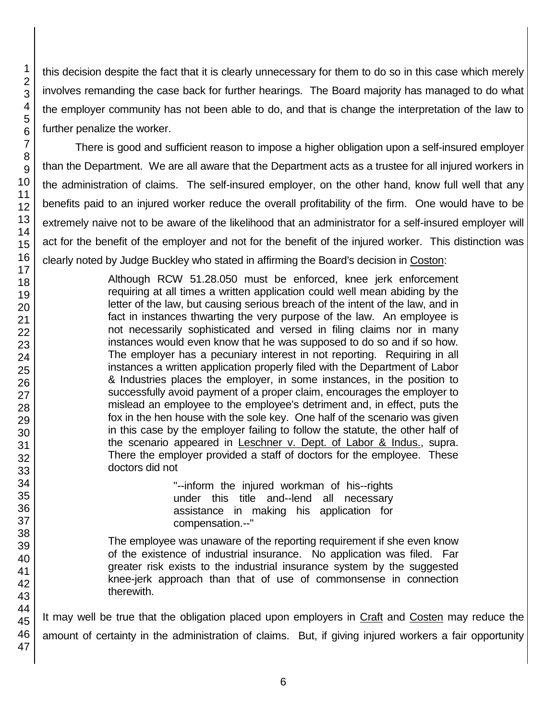this decision despite the fact that it is clearly unnecessary for them to do so in this case which merely involves remanding the case back for further hearings. The Board majority has managed to do what the employer community has not been able to do, and that is change the interpretation of the law to further penalize the worker.

There is good and sufficient reason to impose a higher obligation upon a self-insured employer than the Department. We are all aware that the Department acts as a trustee for all injured workers in the administration of claims. The self-insured employer, on the other hand, know full well that any benefits paid to an injured worker reduce the overall profitability of the firm. One would have to be extremely naive not to be aware of the likelihood that an administrator for a self-insured employer will act for the benefit of the employer and not for the benefit of the injured worker. This distinction was clearly noted by Judge Buckley who stated in affirming the Board's decision in Coston:

> Although RCW 51.28.050 must be enforced, knee jerk enforcement requiring at all times a written application could well mean abiding by the letter of the law, but causing serious breach of the intent of the law, and in fact in instances thwarting the very purpose of the law. An employee is not necessarily sophisticated and versed in filing claims nor in many instances would even know that he was supposed to do so and if so how. The employer has a pecuniary interest in not reporting. Requiring in all instances a written application properly filed with the Department of Labor & Industries places the employer, in some instances, in the position to successfully avoid payment of a proper claim, encourages the employer to mislead an employee to the employee's detriment and, in effect, puts the fox in the hen house with the sole key. One half of the scenario was given in this case by the employer failing to follow the statute, the other half of the scenario appeared in Leschner v. Dept. of Labor & Indus., supra. There the employer provided a staff of doctors for the employee. These doctors did not

> > "--inform the injured workman of his--rights under this title and--lend all necessary assistance in making his application for compensation.--"

The employee was unaware of the reporting requirement if she even know of the existence of industrial insurance. No application was filed. Far greater risk exists to the industrial insurance system by the suggested knee-jerk approach than that of use of commonsense in connection therewith.

It may well be true that the obligation placed upon employers in Craft and Costen may reduce the amount of certainty in the administration of claims. But, if giving injured workers a fair opportunity

1